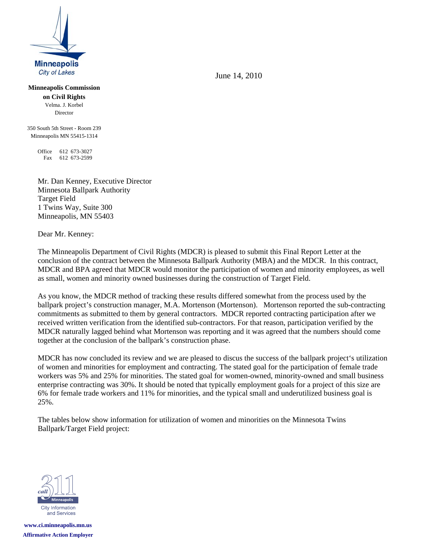

**Minneapolis Commission** 

**on Civil Rights** Velma. J. Korbel Director

350 South 5th Street - Room 239 Minneapolis MN 55415-1314

> Office 612 673-3027 Fax 612 673-2599

Mr. Dan Kenney, Executive Director Minnesota Ballpark Authority Target Field 1 Twins Way, Suite 300 Minneapolis, MN 55403

Dear Mr. Kenney:

The Minneapolis Department of Civil Rights (MDCR) is pleased to submit this Final Report Letter at the conclusion of the contract between the Minnesota Ballpark Authority (MBA) and the MDCR. In this contract, MDCR and BPA agreed that MDCR would monitor the participation of women and minority employees, as well as small, women and minority owned businesses during the construction of Target Field.

As you know, the MDCR method of tracking these results differed somewhat from the process used by the ballpark project's construction manager, M.A. Mortenson (Mortenson). Mortenson reported the sub-contracting commitments as submitted to them by general contractors. MDCR reported contracting participation after we received written verification from the identified sub-contractors. For that reason, participation verified by the MDCR naturally lagged behind what Mortenson was reporting and it was agreed that the numbers should come together at the conclusion of the ballpark's construction phase.

MDCR has now concluded its review and we are pleased to discus the success of the ballpark project's utilization of women and minorities for employment and contracting. The stated goal for the participation of female trade workers was 5% and 25% for minorities. The stated goal for women-owned, minority-owned and small business enterprise contracting was 30%. It should be noted that typically employment goals for a project of this size are 6% for female trade workers and 11% for minorities, and the typical small and underutilized business goal is 25%.

The tables below show information for utilization of women and minorities on the Minnesota Twins Ballpark/Target Field project:



**www.ci.minneapolis.mn.us Affirmative Action Employer** June 14, 2010